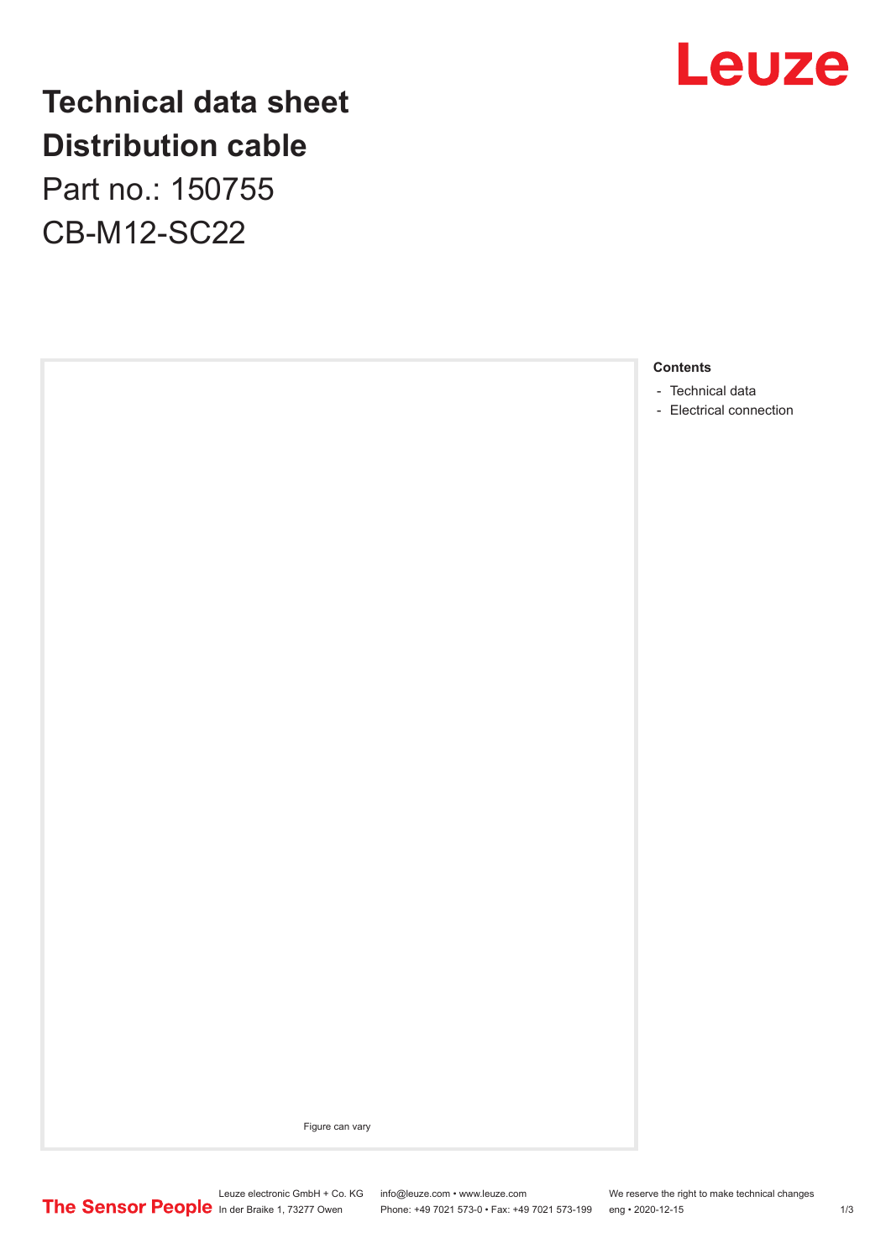

## **Technical data sheet Distribution cable**

Part no.: 150755 CB-M12-SC22



Figure can vary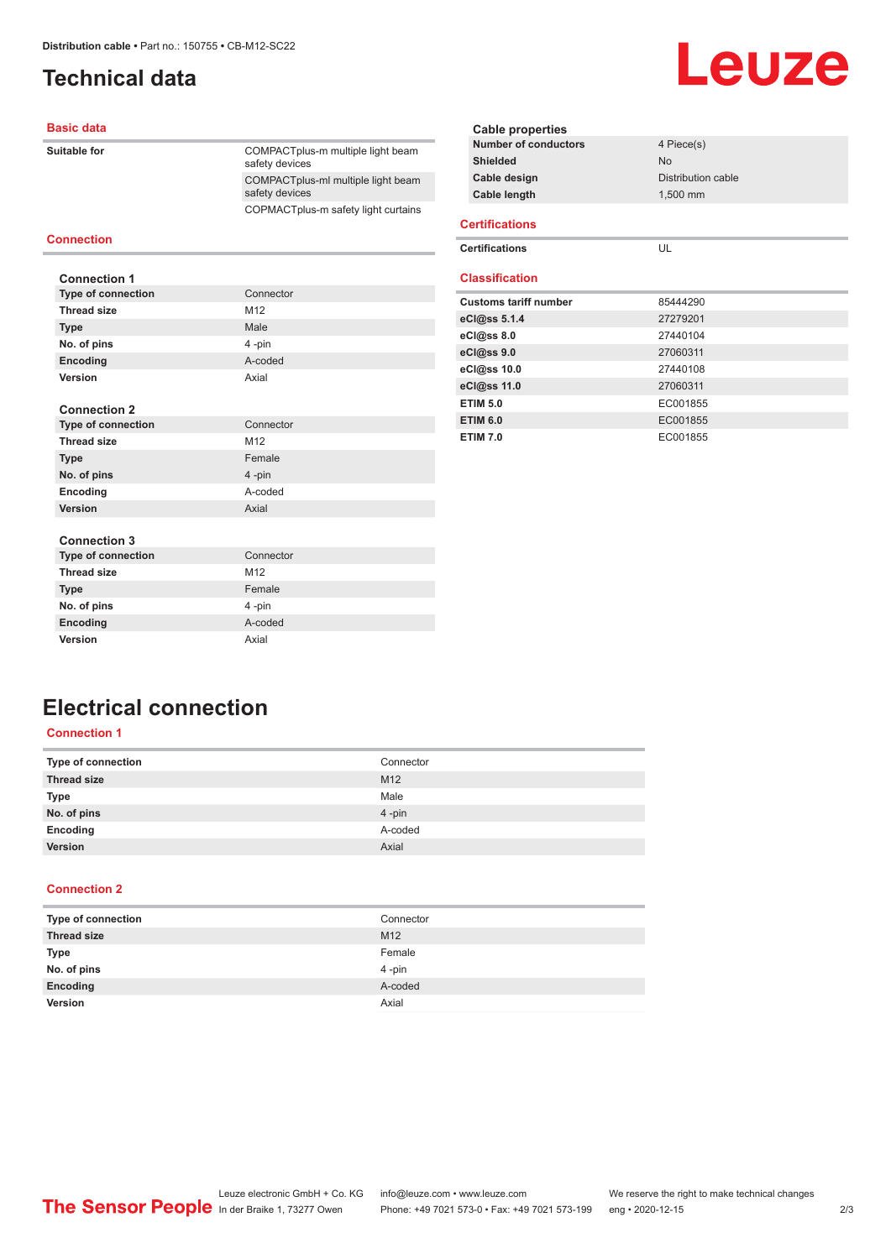### <span id="page-1-0"></span>**Technical data**

### **Basic data**

| Suitable for | COMPACT plus-m multiple light beam<br>safety devices |
|--------------|------------------------------------------------------|
|              | COMPACTplus-ml multiple light beam<br>safety devices |
|              | COPMACTplus-m safety light curtains                  |
|              |                                                      |

### **Connection**

| <b>Connection 1</b>       |                 |
|---------------------------|-----------------|
| <b>Type of connection</b> | Connector       |
| <b>Thread size</b>        | M <sub>12</sub> |
| <b>Type</b>               | Male            |
| No. of pins               | 4-pin           |
| Encoding                  | A-coded         |
| Version                   | Axial           |
|                           |                 |
| <b>Connection 2</b>       |                 |

| <b>Type of connection</b> | Connector       |
|---------------------------|-----------------|
| <b>Thread size</b>        | M <sub>12</sub> |
| <b>Type</b>               | Female          |
| No. of pins               | $4$ -pin        |
| Encoding                  | A-coded         |
| Version                   | Axial           |
|                           |                 |

### **Cable properties Number of conductors** 4 Piece(s) **Shielded** No **Cable design Distribution cable Cable length** 1,500 mm **Certifications Certifications** UL

Leuze

#### **Classification**

| <b>Customs tariff number</b> | 85444290 |
|------------------------------|----------|
| eCl@ss 5.1.4                 | 27279201 |
| $eC$ <sub>0</sub> $e$ ss 8.0 | 27440104 |
| eCl@ss 9.0                   | 27060311 |
| eCl@ss 10.0                  | 27440108 |
| eCl@ss 11.0                  | 27060311 |
| <b>ETIM 5.0</b>              | EC001855 |
| <b>ETIM 6.0</b>              | EC001855 |
| <b>ETIM 7.0</b>              | EC001855 |

#### **Connection 3**

| <b>Type of connection</b> | Connector       |
|---------------------------|-----------------|
| <b>Thread size</b>        | M <sub>12</sub> |
| <b>Type</b>               | Female          |
| No. of pins               | 4-pin           |
| Encoding                  | A-coded         |
| <b>Version</b>            | Axial           |

### **Electrical connection**

### **Connection 1**

| Type of connection | Connector |
|--------------------|-----------|
| <b>Thread size</b> | M12       |
| Type               | Male      |
| No. of pins        | 4-pin     |
| Encoding           | A-coded   |
| Version            | Axial     |

### **Connection 2**

| Type of connection | Connector       |
|--------------------|-----------------|
| <b>Thread size</b> | M <sub>12</sub> |
| <b>Type</b>        | Female          |
| No. of pins        | 4-pin           |
| Encoding           | A-coded         |
| Version            | Axial           |